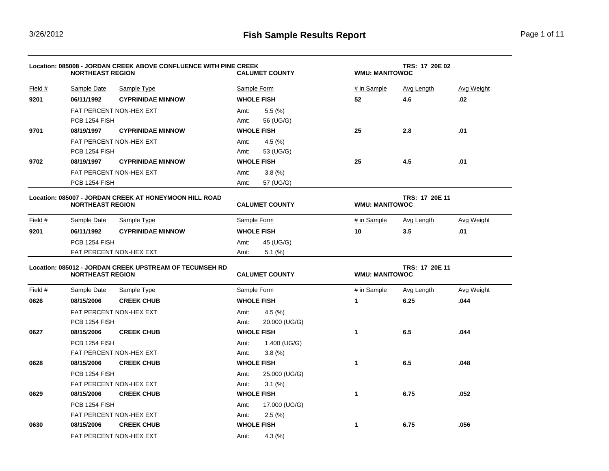▃

|                                                                                   | Location: 085008 - JORDAN CREEK ABOVE CONFLUENCE WITH PINE CREEK<br><b>NORTHEAST REGION</b> |                                                         |             | <b>CALUMET COUNTY</b>                          |              | TRS: 17 20E 02<br><b>WMU: MANITOWOC</b> |                   |  |  |
|-----------------------------------------------------------------------------------|---------------------------------------------------------------------------------------------|---------------------------------------------------------|-------------|------------------------------------------------|--------------|-----------------------------------------|-------------------|--|--|
| Field $#$                                                                         | Sample Date                                                                                 | Sample Type                                             |             | Sample Form                                    | # in Sample  | <b>Avg Length</b>                       | <b>Avg Weight</b> |  |  |
| 9201                                                                              | 06/11/1992                                                                                  | <b>CYPRINIDAE MINNOW</b>                                |             | <b>WHOLE FISH</b>                              | 52           | 4.6                                     | .02               |  |  |
|                                                                                   |                                                                                             | FAT PERCENT NON-HEX EXT                                 | Amt:        | 5.5(%)                                         |              |                                         |                   |  |  |
|                                                                                   | PCB 1254 FISH                                                                               |                                                         | Amt:        | 56 (UG/G)                                      |              |                                         |                   |  |  |
| 9701                                                                              | 08/19/1997                                                                                  | <b>CYPRINIDAE MINNOW</b>                                |             | <b>WHOLE FISH</b>                              | 25           | 2.8                                     | .01               |  |  |
|                                                                                   |                                                                                             | FAT PERCENT NON-HEX EXT                                 | Amt:        | 4.5(%)                                         |              |                                         |                   |  |  |
|                                                                                   | PCB 1254 FISH                                                                               |                                                         | Amt:        | 53 (UG/G)                                      |              |                                         |                   |  |  |
| 9702                                                                              | 08/19/1997                                                                                  | <b>CYPRINIDAE MINNOW</b>                                |             | <b>WHOLE FISH</b>                              | 25           | 4.5                                     | .01               |  |  |
|                                                                                   |                                                                                             | FAT PERCENT NON-HEX EXT                                 | Amt:        | 3.8(%)                                         |              |                                         |                   |  |  |
|                                                                                   | PCB 1254 FISH                                                                               |                                                         | Amt:        | 57 (UG/G)                                      |              |                                         |                   |  |  |
| Location: 085007 - JORDAN CREEK AT HONEYMOON HILL ROAD<br><b>NORTHEAST REGION</b> |                                                                                             | <b>CALUMET COUNTY</b>                                   |             | TRS: 17 20E 11<br><b>WMU: MANITOWOC</b>        |              |                                         |                   |  |  |
| Field #                                                                           | Sample Date                                                                                 | Sample Type                                             | Sample Form |                                                | # in Sample  | Avg Length                              | Avg Weight        |  |  |
| 9201                                                                              | 06/11/1992                                                                                  | <b>CYPRINIDAE MINNOW</b>                                |             | <b>WHOLE FISH</b>                              | 10           | 3.5                                     | .01               |  |  |
|                                                                                   | PCB 1254 FISH                                                                               |                                                         | Amt:        | 45 (UG/G)                                      |              |                                         |                   |  |  |
|                                                                                   | FAT PERCENT NON-HEX EXT                                                                     |                                                         | Amt:        | $5.1\ (%)$                                     |              |                                         |                   |  |  |
|                                                                                   | <b>NORTHEAST REGION</b>                                                                     | Location: 085012 - JORDAN CREEK UPSTREAM OF TECUMSEH RD |             | <b>CALUMET COUNTY</b><br><b>WMU: MANITOWOC</b> |              | TRS: 17 20E 11                          |                   |  |  |
| Field $#$                                                                         | Sample Date                                                                                 | <b>Sample Type</b>                                      |             | Sample Form                                    | # in Sample  | Avg Length                              | <b>Avg Weight</b> |  |  |
| 0626                                                                              | 08/15/2006                                                                                  | <b>CREEK CHUB</b>                                       |             | <b>WHOLE FISH</b>                              | 1            | 6.25                                    | .044              |  |  |
|                                                                                   |                                                                                             | FAT PERCENT NON-HEX EXT                                 | Amt:        | $4.5\,(%)$                                     |              |                                         |                   |  |  |
|                                                                                   | PCB 1254 FISH                                                                               |                                                         | Amt:        | 20.000 (UG/G)                                  |              |                                         |                   |  |  |
| 0627                                                                              | 08/15/2006                                                                                  | <b>CREEK CHUB</b>                                       |             | <b>WHOLE FISH</b>                              | $\mathbf{1}$ | 6.5                                     | .044              |  |  |
|                                                                                   | PCB 1254 FISH                                                                               |                                                         | Amt:        | 1.400 (UG/G)                                   |              |                                         |                   |  |  |
|                                                                                   |                                                                                             | FAT PERCENT NON-HEX EXT                                 | Amt:        | 3.8(%)                                         |              |                                         |                   |  |  |
| 0628                                                                              | 08/15/2006                                                                                  | <b>CREEK CHUB</b>                                       |             | <b>WHOLE FISH</b>                              | $\mathbf{1}$ | 6.5                                     | .048              |  |  |
|                                                                                   | PCB 1254 FISH                                                                               |                                                         | Amt:        | 25.000 (UG/G)                                  |              |                                         |                   |  |  |
|                                                                                   |                                                                                             | FAT PERCENT NON-HEX EXT                                 | Amt:        | $3.1\ (%)$                                     |              |                                         |                   |  |  |
| 0629                                                                              | 08/15/2006                                                                                  | <b>CREEK CHUB</b>                                       |             | <b>WHOLE FISH</b>                              | 1            | 6.75                                    | .052              |  |  |
|                                                                                   | PCB 1254 FISH                                                                               |                                                         | Amt:        | 17.000 (UG/G)                                  |              |                                         |                   |  |  |
|                                                                                   |                                                                                             | FAT PERCENT NON-HEX EXT                                 | Amt:        | 2.5(%)                                         |              |                                         |                   |  |  |
| 0630                                                                              | 08/15/2006                                                                                  | <b>CREEK CHUB</b>                                       |             | <b>WHOLE FISH</b>                              | 1            | 6.75                                    | .056              |  |  |
|                                                                                   |                                                                                             | FAT PERCENT NON-HEX EXT                                 | Amt:        | $4.3\,(%)$                                     |              |                                         |                   |  |  |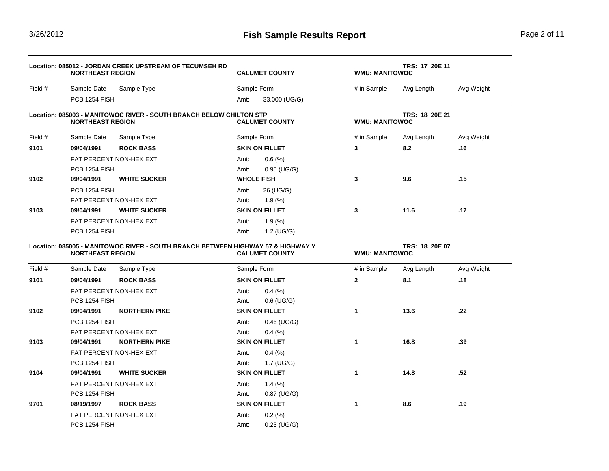<u> 1980 - Johann Barn, amerikan bestemanns eta biztanleria (</u>

|                              | Location: 085012 - JORDAN CREEK UPSTREAM OF TECUMSEH RD<br><b>NORTHEAST REGION</b> |                                                                     | <b>CALUMET COUNTY</b>                |                                      | TRS: 17 20E 11<br><b>WMU: MANITOWOC</b> |                   |  |  |
|------------------------------|------------------------------------------------------------------------------------|---------------------------------------------------------------------|--------------------------------------|--------------------------------------|-----------------------------------------|-------------------|--|--|
| Field $#$                    | <b>Sample Date</b>                                                                 | Sample Type                                                         | Sample Form                          | # in Sample                          | <b>Avg Length</b>                       | <b>Avg Weight</b> |  |  |
|                              | PCB 1254 FISH                                                                      |                                                                     | Amt:<br>33.000 (UG/G)                |                                      |                                         |                   |  |  |
|                              | <b>NORTHEAST REGION</b>                                                            | Location: 085003 - MANITOWOC RIVER - SOUTH BRANCH BELOW CHILTON STP | <b>CALUMET COUNTY</b>                |                                      | TRS: 18 20E 21<br><b>WMU: MANITOWOC</b> |                   |  |  |
| Field #                      | <b>Sample Date</b>                                                                 | <b>Sample Type</b>                                                  | Sample Form                          | # in Sample                          | <b>Avg Length</b>                       | <b>Avg Weight</b> |  |  |
| 9101                         | 09/04/1991                                                                         | <b>ROCK BASS</b>                                                    | <b>SKIN ON FILLET</b>                | 3                                    | 8.2                                     | .16               |  |  |
|                              | FAT PERCENT NON-HEX EXT                                                            |                                                                     | Amt:<br>0.6(%)                       |                                      |                                         |                   |  |  |
|                              | PCB 1254 FISH                                                                      |                                                                     | Amt:<br>$0.95$ (UG/G)                |                                      |                                         |                   |  |  |
| 9102                         | 09/04/1991                                                                         | <b>WHITE SUCKER</b>                                                 | <b>WHOLE FISH</b>                    | 3                                    | 9.6                                     | .15               |  |  |
|                              | PCB 1254 FISH                                                                      |                                                                     | 26 (UG/G)<br>Amt:                    |                                      |                                         |                   |  |  |
|                              | FAT PERCENT NON-HEX EXT                                                            |                                                                     | 1.9(%<br>Amt:                        |                                      |                                         |                   |  |  |
| 9103                         | 09/04/1991                                                                         | <b>WHITE SUCKER</b>                                                 | <b>SKIN ON FILLET</b>                | 3                                    | 11.6                                    | .17               |  |  |
|                              |                                                                                    | FAT PERCENT NON-HEX EXT                                             | Amt:<br>1.9(%                        |                                      |                                         |                   |  |  |
|                              | PCB 1254 FISH                                                                      |                                                                     | 1.2 (UG/G)<br>Amt:                   |                                      |                                         |                   |  |  |
| Field #                      | <b>NORTHEAST REGION</b><br>Sample Date                                             | Sample Type                                                         | <b>CALUMET COUNTY</b><br>Sample Form | <b>WMU: MANITOWOC</b><br># in Sample | <b>Avg Length</b>                       |                   |  |  |
| 9101                         |                                                                                    |                                                                     |                                      |                                      |                                         | <b>Avg Weight</b> |  |  |
|                              | 09/04/1991                                                                         | <b>ROCK BASS</b>                                                    | <b>SKIN ON FILLET</b>                | $\mathbf{2}$                         | 8.1                                     | .18               |  |  |
|                              |                                                                                    | FAT PERCENT NON-HEX EXT                                             | $0.4\ (%)$<br>Amt:                   |                                      |                                         |                   |  |  |
|                              | PCB 1254 FISH                                                                      |                                                                     | $0.6$ (UG/G)<br>Amt:                 |                                      |                                         |                   |  |  |
|                              | 09/04/1991                                                                         | <b>NORTHERN PIKE</b>                                                | <b>SKIN ON FILLET</b>                | 1                                    | 13.6                                    | .22               |  |  |
|                              | PCB 1254 FISH                                                                      |                                                                     | Amt:<br>$0.46$ (UG/G)                |                                      |                                         |                   |  |  |
|                              |                                                                                    | FAT PERCENT NON-HEX EXT                                             | Amt:<br>$0.4\ (%)$                   |                                      |                                         |                   |  |  |
|                              | 09/04/1991                                                                         | <b>NORTHERN PIKE</b>                                                | <b>SKIN ON FILLET</b>                | 1                                    | 16.8                                    | .39               |  |  |
|                              |                                                                                    | FAT PERCENT NON-HEX EXT                                             | $0.4\ (%)$<br>Amt:                   |                                      |                                         |                   |  |  |
|                              | PCB 1254 FISH                                                                      |                                                                     | 1.7 (UG/G)<br>Amt:                   |                                      |                                         |                   |  |  |
|                              | 09/04/1991                                                                         | <b>WHITE SUCKER</b>                                                 | <b>SKIN ON FILLET</b>                | 1                                    | 14.8                                    | .52               |  |  |
|                              |                                                                                    | FAT PERCENT NON-HEX EXT                                             | 1.4 $(\%)$<br>Amt:                   |                                      |                                         |                   |  |  |
|                              | PCB 1254 FISH                                                                      |                                                                     | Amt:<br>$0.87$ (UG/G)                |                                      |                                         |                   |  |  |
|                              | 08/19/1997                                                                         | <b>ROCK BASS</b>                                                    | <b>SKIN ON FILLET</b>                | 1                                    | 8.6                                     | .19               |  |  |
| 9102<br>9103<br>9104<br>9701 |                                                                                    | FAT PERCENT NON-HEX EXT                                             | Amt:<br>0.2(%)                       |                                      |                                         |                   |  |  |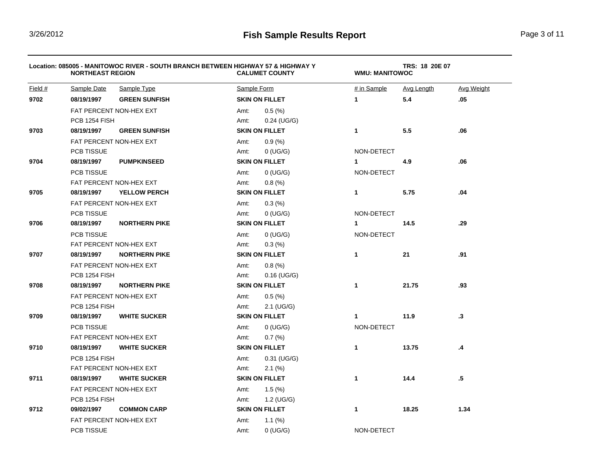|         | <b>NORTHEAST REGION</b> | Location: 085005 - MANITOWOC RIVER - SOUTH BRANCH BETWEEN HIGHWAY 57 & HIGHWAY Y |             | <b>CALUMET COUNTY</b> | TRS: 18 20E 07<br><b>WMU: MANITOWOC</b> |            |                   |  |
|---------|-------------------------|----------------------------------------------------------------------------------|-------------|-----------------------|-----------------------------------------|------------|-------------------|--|
| Field # | Sample Date             | Sample Type                                                                      | Sample Form |                       | # in Sample                             | Avg Length | <b>Avg Weight</b> |  |
| 9702    | 08/19/1997              | <b>GREEN SUNFISH</b>                                                             |             | <b>SKIN ON FILLET</b> | $\mathbf{1}$                            | 5.4        | .05               |  |
|         |                         | FAT PERCENT NON-HEX EXT                                                          | Amt:        | 0.5(%)                |                                         |            |                   |  |
|         | PCB 1254 FISH           |                                                                                  | Amt:        | $0.24$ (UG/G)         |                                         |            |                   |  |
| 9703    | 08/19/1997              | <b>GREEN SUNFISH</b>                                                             |             | <b>SKIN ON FILLET</b> | $\mathbf{1}$                            | 5.5        | .06               |  |
|         |                         | <b>FAT PERCENT NON-HEX EXT</b>                                                   | Amt:        | 0.9(%)                |                                         |            |                   |  |
|         | PCB TISSUE              |                                                                                  | Amt:        | $0$ (UG/G)            | NON-DETECT                              |            |                   |  |
| 9704    | 08/19/1997              | <b>PUMPKINSEED</b>                                                               |             | <b>SKIN ON FILLET</b> | 1                                       | 4.9        | .06               |  |
|         | PCB TISSUE              |                                                                                  | Amt:        | $0$ (UG/G)            | NON-DETECT                              |            |                   |  |
|         |                         | FAT PERCENT NON-HEX EXT                                                          | Amt:        | 0.8(%)                |                                         |            |                   |  |
| 9705    | 08/19/1997              | <b>YELLOW PERCH</b>                                                              |             | <b>SKIN ON FILLET</b> | $\mathbf{1}$                            | 5.75       | .04               |  |
|         |                         | FAT PERCENT NON-HEX EXT                                                          | Amt:        | 0.3(%)                |                                         |            |                   |  |
|         | PCB TISSUE              |                                                                                  | Amt:        | $0$ (UG/G)            | NON-DETECT                              |            |                   |  |
| 9706    | 08/19/1997              | <b>NORTHERN PIKE</b>                                                             |             | <b>SKIN ON FILLET</b> | 1                                       | 14.5       | .29               |  |
|         | <b>PCB TISSUE</b>       |                                                                                  | Amt:        | $0$ (UG/G)            | NON-DETECT                              |            |                   |  |
|         |                         | FAT PERCENT NON-HEX EXT                                                          | Amt:        | 0.3(%)                |                                         |            |                   |  |
| 9707    | 08/19/1997              | <b>NORTHERN PIKE</b>                                                             |             | <b>SKIN ON FILLET</b> | 1                                       | 21         | .91               |  |
|         | FAT PERCENT NON-HEX EXT |                                                                                  | Amt:        | 0.8(%)                |                                         |            |                   |  |
|         | PCB 1254 FISH           |                                                                                  | Amt:        | $0.16$ (UG/G)         |                                         |            |                   |  |
| 9708    | 08/19/1997              | <b>NORTHERN PIKE</b>                                                             |             | <b>SKIN ON FILLET</b> | $\mathbf{1}$                            | 21.75      | .93               |  |
|         |                         | FAT PERCENT NON-HEX EXT                                                          | Amt:        | 0.5(%)                |                                         |            |                   |  |
|         | PCB 1254 FISH           |                                                                                  | Amt:        | $2.1$ (UG/G)          |                                         |            |                   |  |
| 9709    | 08/19/1997              | <b>WHITE SUCKER</b>                                                              |             | <b>SKIN ON FILLET</b> | 1                                       | 11.9       | .3                |  |
|         | <b>PCB TISSUE</b>       |                                                                                  | Amt:        | $0$ (UG/G)            | NON-DETECT                              |            |                   |  |
|         |                         | FAT PERCENT NON-HEX EXT                                                          | Amt:        | 0.7(%)                |                                         |            |                   |  |
| 9710    | 08/19/1997              | <b>WHITE SUCKER</b>                                                              |             | <b>SKIN ON FILLET</b> | 1                                       | 13.75      | .4                |  |
|         | PCB 1254 FISH           |                                                                                  | Amt:        | 0.31 (UG/G)           |                                         |            |                   |  |
|         |                         | FAT PERCENT NON-HEX EXT                                                          | Amt:        | $2.1\ (%)$            |                                         |            |                   |  |
| 9711    | 08/19/1997              | <b>WHITE SUCKER</b>                                                              |             | <b>SKIN ON FILLET</b> | 1                                       | 14.4       | $.5\,$            |  |
|         |                         | FAT PERCENT NON-HEX EXT                                                          | Amt:        | 1.5(%)                |                                         |            |                   |  |
|         | PCB 1254 FISH           |                                                                                  | Amt:        | 1.2 (UG/G)            |                                         |            |                   |  |
| 9712    | 09/02/1997              | <b>COMMON CARP</b>                                                               |             | <b>SKIN ON FILLET</b> | 1                                       | 18.25      | 1.34              |  |
|         | FAT PERCENT NON-HEX EXT |                                                                                  | Amt:        | 1.1 $(%)$             |                                         |            |                   |  |
|         | PCB TISSUE              |                                                                                  | Amt:        | $0$ (UG/G)            | NON-DETECT                              |            |                   |  |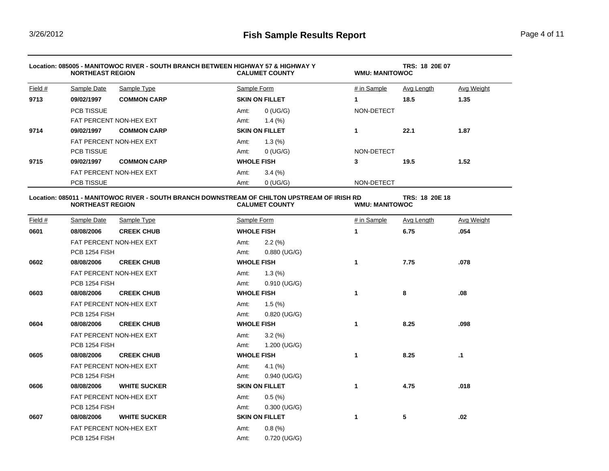| Location: 085005 - MANITOWOC RIVER - SOUTH BRANCH BETWEEN HIGHWAY 57 & HIGHWAY Y<br><b>NORTHEAST REGION</b> |                                        |                         | <b>CALUMET COUNTY</b> | TRS: 18 20E 07<br><b>WMU: MANITOWOC</b> |                                      |            |                   |
|-------------------------------------------------------------------------------------------------------------|----------------------------------------|-------------------------|-----------------------|-----------------------------------------|--------------------------------------|------------|-------------------|
| Field #                                                                                                     | Sample Date                            | Sample Type             | Sample Form           |                                         | # in Sample                          | Avg Length | Avg Weight        |
| 9713                                                                                                        | 09/02/1997                             | <b>COMMON CARP</b>      |                       | <b>SKIN ON FILLET</b>                   | $\mathbf 1$                          | 18.5       | 1.35              |
|                                                                                                             | <b>PCB TISSUE</b>                      |                         | Amt:                  | $0$ (UG/G)                              | NON-DETECT                           |            |                   |
|                                                                                                             |                                        | FAT PERCENT NON-HEX EXT | Amt:                  | 1.4 $(\%)$                              |                                      |            |                   |
| 9714                                                                                                        | 09/02/1997                             | <b>COMMON CARP</b>      |                       | <b>SKIN ON FILLET</b>                   | 1                                    | 22.1       | 1.87              |
|                                                                                                             |                                        | FAT PERCENT NON-HEX EXT |                       | 1.3(%)                                  |                                      |            |                   |
|                                                                                                             | <b>PCB TISSUE</b>                      |                         | Amt:                  | $0$ (UG/G)                              | NON-DETECT                           |            |                   |
| 9715                                                                                                        | 09/02/1997                             | <b>COMMON CARP</b>      |                       | <b>WHOLE FISH</b>                       | 3                                    | 19.5       | 1.52              |
|                                                                                                             | FAT PERCENT NON-HEX EXT                |                         | Amt:                  | $3.4\ (%)$                              |                                      |            |                   |
|                                                                                                             | <b>PCB TISSUE</b>                      |                         | Amt:                  | $0$ (UG/G)                              | NON-DETECT                           |            |                   |
| Field $#$                                                                                                   | <b>NORTHEAST REGION</b><br>Sample Date | Sample Type             | Sample Form           | <b>CALUMET COUNTY</b>                   | <b>WMU: MANITOWOC</b><br># in Sample | Avg Length | <b>Avg Weight</b> |
| 0601                                                                                                        | 08/08/2006                             | <b>CREEK CHUB</b>       |                       | <b>WHOLE FISH</b>                       | 1                                    | 6.75       | .054              |
|                                                                                                             |                                        | FAT PERCENT NON-HEX EXT | Amt:                  | 2.2(%)                                  |                                      |            |                   |
|                                                                                                             | PCB 1254 FISH                          |                         | Amt:                  | $0.880$ (UG/G)                          |                                      |            |                   |
| 0602                                                                                                        | 08/08/2006                             | <b>CREEK CHUB</b>       |                       | <b>WHOLE FISH</b>                       | 1                                    | 7.75       | .078              |
|                                                                                                             | FAT PERCENT NON-HEX EXT                |                         | Amt:                  | 1.3(%)                                  |                                      |            |                   |
|                                                                                                             | PCB 1254 FISH                          |                         | Amt:                  | 0.910 (UG/G)                            |                                      |            |                   |
| 0603                                                                                                        | 08/08/2006                             | <b>CREEK CHUB</b>       |                       | <b>WHOLE FISH</b>                       | $\mathbf{1}$                         | 8          | .08               |
|                                                                                                             |                                        | FAT PERCENT NON-HEX EXT | Amt:                  | 1.5(%)                                  |                                      |            |                   |
|                                                                                                             | PCB 1254 FISH                          |                         | Amt:                  | $0.820$ (UG/G)                          |                                      |            |                   |
| 0604                                                                                                        | 08/08/2006                             | <b>CREEK CHUB</b>       |                       | <b>WHOLE FISH</b>                       | 1                                    | 8.25       | .098              |
|                                                                                                             |                                        | FAT PERCENT NON-HEX EXT | Amt:                  | 3.2(%)                                  |                                      |            |                   |
|                                                                                                             | PCB 1254 FISH                          |                         | Amt:                  | 1.200 (UG/G)                            |                                      |            |                   |
| 0605                                                                                                        | 08/08/2006                             | <b>CREEK CHUB</b>       |                       | <b>WHOLE FISH</b>                       | 1                                    | 8.25       | $\cdot$ 1         |
|                                                                                                             |                                        | FAT PERCENT NON-HEX EXT | Amt:                  | $4.1\ (%)$                              |                                      |            |                   |
|                                                                                                             | PCB 1254 FISH                          |                         | Amt:                  | $0.940$ (UG/G)                          |                                      |            |                   |
| 0606                                                                                                        | 08/08/2006                             | <b>WHITE SUCKER</b>     |                       | <b>SKIN ON FILLET</b>                   | 1                                    | 4.75       | .018              |
|                                                                                                             |                                        | FAT PERCENT NON-HEX EXT | Amt:                  | 0.5(%)                                  |                                      |            |                   |
|                                                                                                             | PCB 1254 FISH                          |                         | Amt:                  | $0.300$ (UG/G)                          |                                      |            |                   |
| 0607                                                                                                        | 08/08/2006                             | <b>WHITE SUCKER</b>     |                       | <b>SKIN ON FILLET</b>                   | 1                                    | 5          | .02               |
|                                                                                                             |                                        | FAT PERCENT NON-HEX EXT | Amt:                  | 0.8(%)                                  |                                      |            |                   |
|                                                                                                             | PCB 1254 FISH                          |                         | Amt:                  | 0.720 (UG/G)                            |                                      |            |                   |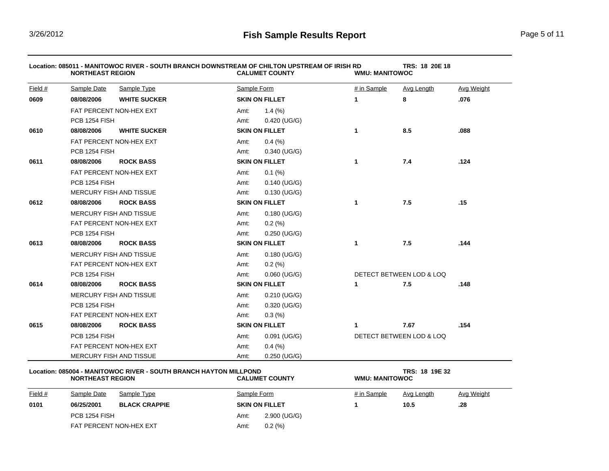|         | <b>NORTHEAST REGION</b>        | Location: 085011 - MANITOWOC RIVER - SOUTH BRANCH DOWNSTREAM OF CHILTON UPSTREAM OF IRISH RD |                       | <b>CALUMET COUNTY</b> | <b>WMU: MANITOWOC</b> | TRS: 18 20E 18           |            |
|---------|--------------------------------|----------------------------------------------------------------------------------------------|-----------------------|-----------------------|-----------------------|--------------------------|------------|
| Field # | Sample Date                    | Sample Type                                                                                  | Sample Form           |                       | # in Sample           | Avg Length               | Avg Weight |
| 0609    | 08/08/2006                     | <b>WHITE SUCKER</b>                                                                          |                       | <b>SKIN ON FILLET</b> | $\mathbf 1$           | 8                        | .076       |
|         |                                | FAT PERCENT NON-HEX EXT                                                                      | Amt:                  | 1.4(%)                |                       |                          |            |
|         | <b>PCB 1254 FISH</b>           |                                                                                              | Amt:                  | 0.420 (UG/G)          |                       |                          |            |
| 0610    | 08/08/2006                     | <b>WHITE SUCKER</b>                                                                          |                       | <b>SKIN ON FILLET</b> | 1                     | 8.5                      | .088       |
|         |                                | FAT PERCENT NON-HEX EXT                                                                      | Amt:                  | $0.4\ (%)$            |                       |                          |            |
|         | <b>PCB 1254 FISH</b>           |                                                                                              | Amt:                  | $0.340$ (UG/G)        |                       |                          |            |
| 0611    | 08/08/2006                     | <b>ROCK BASS</b>                                                                             |                       | <b>SKIN ON FILLET</b> | $\mathbf{1}$          | 7.4                      | .124       |
|         |                                | FAT PERCENT NON-HEX EXT                                                                      | Amt:                  | $0.1\ (%)$            |                       |                          |            |
|         | <b>PCB 1254 FISH</b>           |                                                                                              | Amt:                  | $0.140$ (UG/G)        |                       |                          |            |
|         |                                | <b>MERCURY FISH AND TISSUE</b>                                                               | Amt:                  | $0.130$ (UG/G)        |                       |                          |            |
| 0612    | 08/08/2006                     | <b>ROCK BASS</b>                                                                             |                       | <b>SKIN ON FILLET</b> | $\mathbf{1}$          | 7.5                      | .15        |
|         | <b>MERCURY FISH AND TISSUE</b> |                                                                                              | Amt:                  | 0.180 (UG/G)          |                       |                          |            |
|         | FAT PERCENT NON-HEX EXT        |                                                                                              | Amt:                  | 0.2(%)                |                       |                          |            |
|         | PCB 1254 FISH                  |                                                                                              | Amt:                  | $0.250$ (UG/G)        |                       |                          |            |
| 0613    | 08/08/2006                     | <b>ROCK BASS</b>                                                                             | <b>SKIN ON FILLET</b> |                       | $\mathbf{1}$          | 7.5                      | .144       |
|         |                                | MERCURY FISH AND TISSUE                                                                      | Amt:                  | $0.180$ (UG/G)        |                       |                          |            |
|         |                                | FAT PERCENT NON-HEX EXT                                                                      | Amt:                  | 0.2(%)                |                       |                          |            |
|         | PCB 1254 FISH                  |                                                                                              | Amt:                  | $0.060$ (UG/G)        |                       | DETECT BETWEEN LOD & LOQ |            |
| 0614    | 08/08/2006                     | <b>ROCK BASS</b>                                                                             |                       | <b>SKIN ON FILLET</b> | 1                     | 7.5                      | .148       |
|         |                                | <b>MERCURY FISH AND TISSUE</b>                                                               | Amt:                  | $0.210$ (UG/G)        |                       |                          |            |
|         | PCB 1254 FISH                  |                                                                                              | Amt:                  | 0.320 (UG/G)          |                       |                          |            |
|         |                                | FAT PERCENT NON-HEX EXT                                                                      | Amt:                  | 0.3(%)                |                       |                          |            |
| 0615    | 08/08/2006                     | <b>ROCK BASS</b>                                                                             |                       | <b>SKIN ON FILLET</b> | 1                     | 7.67                     | .154       |
|         | PCB 1254 FISH                  |                                                                                              | Amt:                  | $0.091$ (UG/G)        |                       | DETECT BETWEEN LOD & LOQ |            |
|         |                                | FAT PERCENT NON-HEX EXT                                                                      | Amt:                  | $0.4\ (%)$            |                       |                          |            |
|         |                                | MERCURY FISH AND TISSUE                                                                      | Amt:                  | $0.250$ (UG/G)        |                       |                          |            |

## **Location: 085004 - MANITOWOC RIVER - SOUTH BRANCH HAYTON MILLPOND TRS: 18 19E 32**  $N$ ORTHEAST REGION

| Field # | Sample Date             | Sample Type          | Sample Form           |              | # in Sample | Avg Length | <b>Avg Weight</b> |
|---------|-------------------------|----------------------|-----------------------|--------------|-------------|------------|-------------------|
| 0101    | 06/25/2001              | <b>BLACK CRAPPIE</b> | <b>SKIN ON FILLET</b> |              |             | 10.5       | .28               |
|         | PCB 1254 FISH           |                      | Amt:                  | 2.900 (UG/G) |             |            |                   |
|         | FAT PERCENT NON-HEX EXT |                      | Amt:                  | 0.2(%)       |             |            |                   |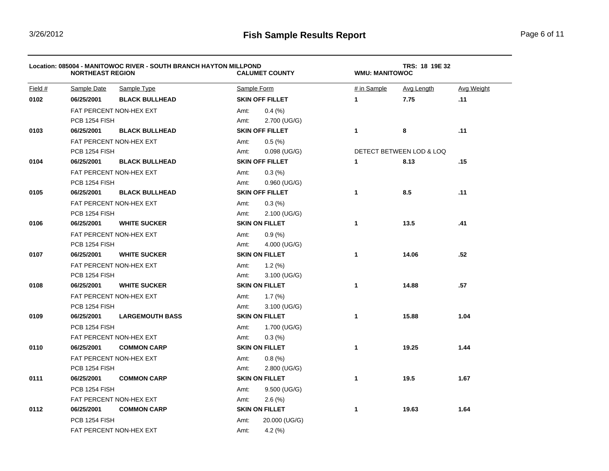|         | <b>NORTHEAST REGION</b> | Location: 085004 - MANITOWOC RIVER - SOUTH BRANCH HAYTON MILLPOND |             | <b>CALUMET COUNTY</b>  | TRS: 18 19E 32<br><b>WMU: MANITOWOC</b> |                          |                   |  |
|---------|-------------------------|-------------------------------------------------------------------|-------------|------------------------|-----------------------------------------|--------------------------|-------------------|--|
| Field # | Sample Date             | Sample Type                                                       | Sample Form |                        | # in Sample                             | Avg Length               | <b>Avg Weight</b> |  |
| 0102    | 06/25/2001              | <b>BLACK BULLHEAD</b>                                             |             | <b>SKIN OFF FILLET</b> | $\mathbf{1}$                            | 7.75                     | .11               |  |
|         |                         | FAT PERCENT NON-HEX EXT                                           | Amt:        | 0.4(%)                 |                                         |                          |                   |  |
|         | PCB 1254 FISH           |                                                                   | Amt:        | 2.700 (UG/G)           |                                         |                          |                   |  |
| 0103    | 06/25/2001              | <b>BLACK BULLHEAD</b>                                             |             | <b>SKIN OFF FILLET</b> | $\mathbf{1}$                            | 8                        | .11               |  |
|         |                         | FAT PERCENT NON-HEX EXT                                           | Amt:        | 0.5(%)                 |                                         |                          |                   |  |
|         | PCB 1254 FISH           |                                                                   | Amt:        | $0.098$ (UG/G)         |                                         | DETECT BETWEEN LOD & LOQ |                   |  |
| 0104    | 06/25/2001              | <b>BLACK BULLHEAD</b>                                             |             | <b>SKIN OFF FILLET</b> | $\mathbf{1}$                            | 8.13                     | .15               |  |
|         |                         | FAT PERCENT NON-HEX EXT                                           | Amt:        | 0.3(%)                 |                                         |                          |                   |  |
|         | PCB 1254 FISH           |                                                                   | Amt:        | $0.960$ (UG/G)         |                                         |                          |                   |  |
| 0105    | 06/25/2001              | <b>BLACK BULLHEAD</b>                                             |             | <b>SKIN OFF FILLET</b> | 1                                       | 8.5                      | .11               |  |
|         |                         | FAT PERCENT NON-HEX EXT                                           | Amt:        | 0.3(%)                 |                                         |                          |                   |  |
|         | PCB 1254 FISH           |                                                                   | Amt:        | 2.100 (UG/G)           |                                         |                          |                   |  |
| 0106    | 06/25/2001              | <b>WHITE SUCKER</b>                                               |             | <b>SKIN ON FILLET</b>  | 1                                       | 13.5                     | .41               |  |
|         |                         | FAT PERCENT NON-HEX EXT                                           | Amt:        | 0.9(%)                 |                                         |                          |                   |  |
|         | PCB 1254 FISH           |                                                                   | Amt:        | 4.000 (UG/G)           |                                         |                          |                   |  |
| 0107    | 06/25/2001              | <b>WHITE SUCKER</b>                                               |             | <b>SKIN ON FILLET</b>  | $\mathbf{1}$                            | 14.06                    | .52               |  |
|         | FAT PERCENT NON-HEX EXT |                                                                   | Amt:        | 1.2(%)                 |                                         |                          |                   |  |
|         | PCB 1254 FISH           |                                                                   | Amt:        | $3.100$ (UG/G)         |                                         |                          |                   |  |
| 0108    | 06/25/2001              | <b>WHITE SUCKER</b>                                               |             | <b>SKIN ON FILLET</b>  | 1                                       | 14.88                    | .57               |  |
|         |                         | FAT PERCENT NON-HEX EXT                                           | Amt:        | 1.7(%)                 |                                         |                          |                   |  |
|         | PCB 1254 FISH           |                                                                   | Amt:        | 3.100 (UG/G)           |                                         |                          |                   |  |
| 0109    | 06/25/2001              | <b>LARGEMOUTH BASS</b>                                            |             | <b>SKIN ON FILLET</b>  | 1                                       | 15.88                    | 1.04              |  |
|         | PCB 1254 FISH           |                                                                   | Amt:        | 1.700 (UG/G)           |                                         |                          |                   |  |
|         |                         | FAT PERCENT NON-HEX EXT                                           | Amt:        | 0.3(%)                 |                                         |                          |                   |  |
| 0110    | 06/25/2001              | <b>COMMON CARP</b>                                                |             | <b>SKIN ON FILLET</b>  | 1                                       | 19.25                    | 1.44              |  |
|         |                         | FAT PERCENT NON-HEX EXT                                           | Amt:        | 0.8(%)                 |                                         |                          |                   |  |
|         | PCB 1254 FISH           |                                                                   | Amt:        | $2.800$ (UG/G)         |                                         |                          |                   |  |
| 0111    | 06/25/2001              | <b>COMMON CARP</b>                                                |             | <b>SKIN ON FILLET</b>  | 1                                       | 19.5                     | 1.67              |  |
|         | PCB 1254 FISH           |                                                                   | Amt:        | 9.500 (UG/G)           |                                         |                          |                   |  |
|         | FAT PERCENT NON-HEX EXT |                                                                   | Amt:        | 2.6(%)                 |                                         |                          |                   |  |
| 0112    | 06/25/2001              | <b>COMMON CARP</b>                                                |             | <b>SKIN ON FILLET</b>  | 1                                       | 19.63                    | 1.64              |  |
|         | PCB 1254 FISH           |                                                                   | Amt:        | 20.000 (UG/G)          |                                         |                          |                   |  |
|         |                         | FAT PERCENT NON-HEX EXT                                           | Amt:        | 4.2 $(%)$              |                                         |                          |                   |  |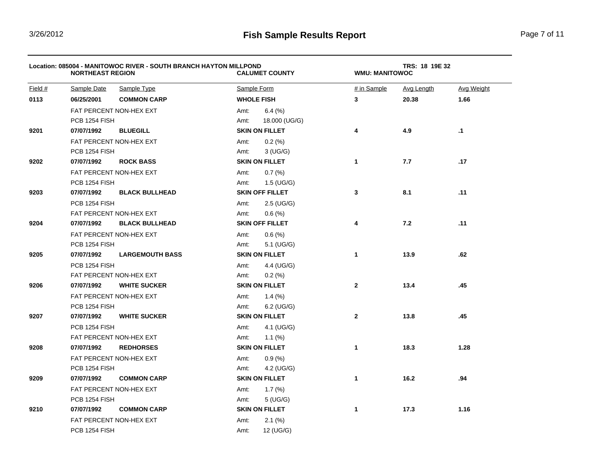|           | <b>NORTHEAST REGION</b> | Location: 085004 - MANITOWOC RIVER - SOUTH BRANCH HAYTON MILLPOND |                    | <b>CALUMET COUNTY</b>  | TRS: 18 19E 32<br><b>WMU: MANITOWOC</b> |            |                   |  |
|-----------|-------------------------|-------------------------------------------------------------------|--------------------|------------------------|-----------------------------------------|------------|-------------------|--|
| Field $#$ | Sample Date             | Sample Type                                                       | Sample Form        |                        | # in Sample                             | Avg Length | <b>Avg Weight</b> |  |
| 0113      | 06/25/2001              | <b>COMMON CARP</b>                                                | <b>WHOLE FISH</b>  |                        | $\mathbf{3}$                            | 20.38      | 1.66              |  |
|           |                         | FAT PERCENT NON-HEX EXT                                           | Amt:               | $6.4\ (%)$             |                                         |            |                   |  |
|           | PCB 1254 FISH           |                                                                   | Amt:               | 18.000 (UG/G)          |                                         |            |                   |  |
| 9201      | 07/07/1992              | <b>BLUEGILL</b>                                                   |                    | <b>SKIN ON FILLET</b>  | 4                                       | 4.9        | $\cdot$ 1         |  |
|           | FAT PERCENT NON-HEX EXT |                                                                   | Amt:               | $0.2\ (%)$             |                                         |            |                   |  |
|           | PCB 1254 FISH           |                                                                   | Amt:               | $3$ (UG/G)             |                                         |            |                   |  |
| 9202      | 07/07/1992              | <b>ROCK BASS</b>                                                  |                    | <b>SKIN ON FILLET</b>  | $\mathbf{1}$                            | 7.7        | .17               |  |
|           |                         | FAT PERCENT NON-HEX EXT                                           | Amt:               | 0.7(%)                 |                                         |            |                   |  |
|           | PCB 1254 FISH           |                                                                   | Amt:               | $1.5$ (UG/G)           |                                         |            |                   |  |
| 9203      | 07/07/1992              | <b>BLACK BULLHEAD</b>                                             |                    | <b>SKIN OFF FILLET</b> | 3                                       | 8.1        | .11               |  |
|           | <b>PCB 1254 FISH</b>    |                                                                   | Amt:               | $2.5$ (UG/G)           |                                         |            |                   |  |
|           |                         | FAT PERCENT NON-HEX EXT                                           | Amt:               | 0.6(%)                 |                                         |            |                   |  |
| 9204      | 07/07/1992              | <b>BLACK BULLHEAD</b>                                             |                    | <b>SKIN OFF FILLET</b> | 4                                       | 7.2        | .11               |  |
|           |                         | FAT PERCENT NON-HEX EXT                                           | Amt:               | 0.6(%)                 |                                         |            |                   |  |
|           | PCB 1254 FISH           |                                                                   | Amt:               | 5.1 (UG/G)             |                                         |            |                   |  |
| 9205      | 07/07/1992              | <b>LARGEMOUTH BASS</b>                                            |                    | <b>SKIN ON FILLET</b>  | $\mathbf{1}$                            | 13.9       | .62               |  |
|           | PCB 1254 FISH           |                                                                   | Amt:               | 4.4 (UG/G)             |                                         |            |                   |  |
|           |                         | FAT PERCENT NON-HEX EXT                                           | Amt:               | 0.2(%)                 |                                         |            |                   |  |
| 9206      | 07/07/1992              | <b>WHITE SUCKER</b>                                               |                    | <b>SKIN ON FILLET</b>  | $\mathbf{2}$                            | 13.4       | .45               |  |
|           |                         | FAT PERCENT NON-HEX EXT                                           | Amt:               | $1.4\ (%)$             |                                         |            |                   |  |
|           | PCB 1254 FISH           |                                                                   | Amt:               | $6.2$ (UG/G)           |                                         |            |                   |  |
| 9207      | 07/07/1992              | <b>WHITE SUCKER</b>                                               |                    | <b>SKIN ON FILLET</b>  | $\mathbf{2}$                            | 13.8       | .45               |  |
|           | PCB 1254 FISH           |                                                                   | Amt:               | 4.1 (UG/G)             |                                         |            |                   |  |
|           |                         | FAT PERCENT NON-HEX EXT                                           | Amt:               | $1.1\ (%)$             |                                         |            |                   |  |
| 9208      | 07/07/1992              | <b>REDHORSES</b>                                                  |                    | <b>SKIN ON FILLET</b>  | 1                                       | 18.3       | 1.28              |  |
|           |                         | FAT PERCENT NON-HEX EXT                                           | Amt:               | 0.9(%)                 |                                         |            |                   |  |
|           | PCB 1254 FISH           |                                                                   | Amt:               | 4.2 (UG/G)             |                                         |            |                   |  |
| 9209      | 07/07/1992              | <b>COMMON CARP</b>                                                |                    | <b>SKIN ON FILLET</b>  | $\mathbf{1}$                            | 16.2       | .94               |  |
|           |                         | FAT PERCENT NON-HEX EXT                                           | Amt:               | 1.7 $(%)$              |                                         |            |                   |  |
|           | PCB 1254 FISH           |                                                                   | Amt:               | $5$ (UG/G)             |                                         |            |                   |  |
| 9210      | 07/07/1992              | <b>COMMON CARP</b>                                                |                    | <b>SKIN ON FILLET</b>  | 1                                       | 17.3       | 1.16              |  |
|           | FAT PERCENT NON-HEX EXT |                                                                   | $2.1\ (%)$<br>Amt: |                        |                                         |            |                   |  |
|           | PCB 1254 FISH           |                                                                   | Amt:               | 12 (UG/G)              |                                         |            |                   |  |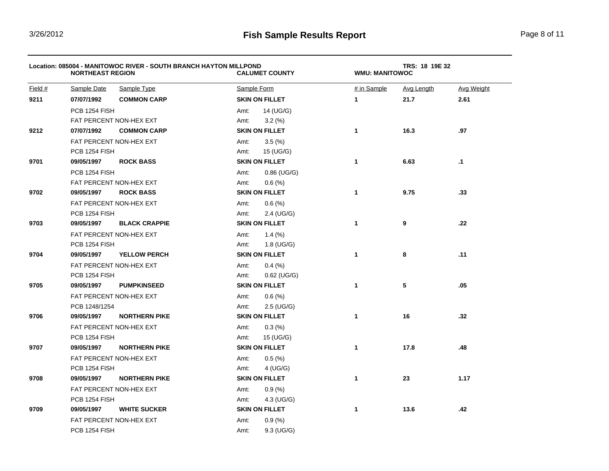|           | <b>NORTHEAST REGION</b> | Location: 085004 - MANITOWOC RIVER - SOUTH BRANCH HAYTON MILLPOND | <b>CALUMET COUNTY</b> |              | TRS: 18 19E 32<br><b>WMU: MANITOWOC</b> |                   |  |  |
|-----------|-------------------------|-------------------------------------------------------------------|-----------------------|--------------|-----------------------------------------|-------------------|--|--|
| Field $#$ | <b>Sample Date</b>      | Sample Type                                                       | Sample Form           | # in Sample  | Avg Length                              | <b>Avg Weight</b> |  |  |
| 9211      | 07/07/1992              | <b>COMMON CARP</b>                                                | <b>SKIN ON FILLET</b> | $\mathbf{1}$ | 21.7                                    | 2.61              |  |  |
|           | PCB 1254 FISH           |                                                                   | Amt:<br>14 (UG/G)     |              |                                         |                   |  |  |
|           |                         | FAT PERCENT NON-HEX EXT                                           | Amt:<br>$3.2\ (%)$    |              |                                         |                   |  |  |
| 9212      | 07/07/1992              | <b>COMMON CARP</b>                                                | <b>SKIN ON FILLET</b> | $\mathbf{1}$ | 16.3                                    | .97               |  |  |
|           | FAT PERCENT NON-HEX EXT |                                                                   | 3.5(%)<br>Amt:        |              |                                         |                   |  |  |
|           | PCB 1254 FISH           |                                                                   | Amt:<br>15 (UG/G)     |              |                                         |                   |  |  |
| 9701      | 09/05/1997              | <b>ROCK BASS</b>                                                  | <b>SKIN ON FILLET</b> | 1            | 6.63                                    | $\cdot$ 1         |  |  |
|           | PCB 1254 FISH           |                                                                   | Amt:<br>$0.86$ (UG/G) |              |                                         |                   |  |  |
|           |                         | FAT PERCENT NON-HEX EXT                                           | Amt:<br>0.6(%)        |              |                                         |                   |  |  |
| 9702      | 09/05/1997              | <b>ROCK BASS</b>                                                  | <b>SKIN ON FILLET</b> | $\mathbf{1}$ | 9.75                                    | .33               |  |  |
|           |                         | FAT PERCENT NON-HEX EXT                                           | 0.6(%)<br>Amt:        |              |                                         |                   |  |  |
|           | PCB 1254 FISH           |                                                                   | Amt:<br>2.4 (UG/G)    |              |                                         |                   |  |  |
| 9703      | 09/05/1997              | <b>BLACK CRAPPIE</b>                                              | <b>SKIN ON FILLET</b> | $\mathbf{1}$ | 9                                       | .22               |  |  |
|           |                         | FAT PERCENT NON-HEX EXT                                           | $1.4\ (%)$<br>Amt:    |              |                                         |                   |  |  |
|           | PCB 1254 FISH           |                                                                   | Amt:<br>1.8 (UG/G)    |              |                                         |                   |  |  |
| 9704      | 09/05/1997              | <b>YELLOW PERCH</b>                                               | <b>SKIN ON FILLET</b> | 1            | 8                                       | .11               |  |  |
|           | FAT PERCENT NON-HEX EXT |                                                                   | $0.4\ (%)$<br>Amt:    |              |                                         |                   |  |  |
|           | PCB 1254 FISH           |                                                                   | Amt:<br>$0.62$ (UG/G) |              |                                         |                   |  |  |
| 9705      | 09/05/1997              | <b>PUMPKINSEED</b>                                                | <b>SKIN ON FILLET</b> | $\mathbf{1}$ | 5                                       | .05               |  |  |
|           |                         | FAT PERCENT NON-HEX EXT                                           | Amt:<br>0.6(%)        |              |                                         |                   |  |  |
|           | PCB 1248/1254           |                                                                   | Amt:<br>2.5 (UG/G)    |              |                                         |                   |  |  |
| 9706      | 09/05/1997              | <b>NORTHERN PIKE</b>                                              | <b>SKIN ON FILLET</b> | 1            | 16                                      | .32               |  |  |
|           |                         | FAT PERCENT NON-HEX EXT                                           | Amt:<br>0.3(%)        |              |                                         |                   |  |  |
|           | PCB 1254 FISH           |                                                                   | Amt:<br>15 (UG/G)     |              |                                         |                   |  |  |
| 9707      | 09/05/1997              | <b>NORTHERN PIKE</b>                                              | <b>SKIN ON FILLET</b> | 1            | 17.8                                    | .48               |  |  |
|           |                         | FAT PERCENT NON-HEX EXT                                           | 0.5(%)<br>Amt:        |              |                                         |                   |  |  |
|           | PCB 1254 FISH           |                                                                   | Amt:<br>4 (UG/G)      |              |                                         |                   |  |  |
| 9708      | 09/05/1997              | <b>NORTHERN PIKE</b>                                              | <b>SKIN ON FILLET</b> | $\mathbf{1}$ | 23                                      | 1.17              |  |  |
|           |                         | FAT PERCENT NON-HEX EXT                                           | 0.9(%)<br>Amt:        |              |                                         |                   |  |  |
|           | <b>PCB 1254 FISH</b>    |                                                                   | 4.3 (UG/G)<br>Amt:    |              |                                         |                   |  |  |
| 9709      | 09/05/1997              | <b>WHITE SUCKER</b>                                               | <b>SKIN ON FILLET</b> | $\mathbf{1}$ | 13.6                                    | .42               |  |  |
|           | FAT PERCENT NON-HEX EXT |                                                                   | 0.9(%<br>Amt:         |              |                                         |                   |  |  |
|           | PCB 1254 FISH           |                                                                   | 9.3 (UG/G)<br>Amt:    |              |                                         |                   |  |  |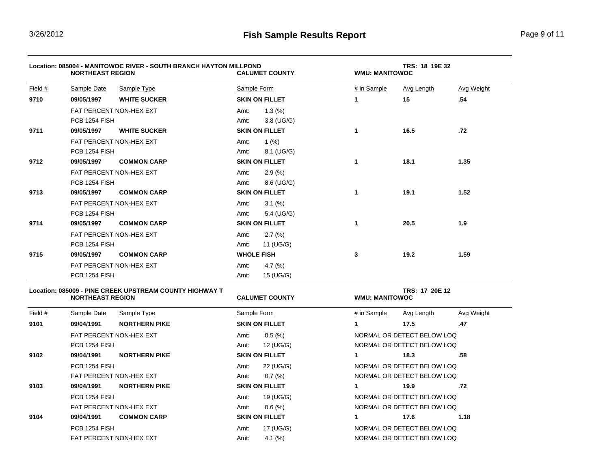|         | Location: 085004 - MANITOWOC RIVER - SOUTH BRANCH HAYTON MILLPOND<br><b>NORTHEAST REGION</b> |                         |      | <b>CALUMET COUNTY</b> |             | TRS: 18 19E 32<br><b>WMU: MANITOWOC</b> |                   |  |  |
|---------|----------------------------------------------------------------------------------------------|-------------------------|------|-----------------------|-------------|-----------------------------------------|-------------------|--|--|
| Field # | Sample Date                                                                                  | Sample Type             |      | Sample Form           | # in Sample | Avg Length                              | <b>Avg Weight</b> |  |  |
| 9710    | 09/05/1997                                                                                   | <b>WHITE SUCKER</b>     |      | <b>SKIN ON FILLET</b> | 1           | 15                                      | .54               |  |  |
|         |                                                                                              | FAT PERCENT NON-HEX EXT |      | 1.3(%)                |             |                                         |                   |  |  |
|         | PCB 1254 FISH                                                                                |                         | Amt: | $3.8$ (UG/G)          |             |                                         |                   |  |  |
| 9711    | 09/05/1997                                                                                   | <b>WHITE SUCKER</b>     |      | <b>SKIN ON FILLET</b> | 1           | 16.5                                    | .72               |  |  |
|         |                                                                                              | FAT PERCENT NON-HEX EXT | Amt: | 1 $(% )$              |             |                                         |                   |  |  |
|         | PCB 1254 FISH                                                                                |                         | Amt: | 8.1 (UG/G)            |             |                                         |                   |  |  |
| 9712    | 09/05/1997                                                                                   | <b>COMMON CARP</b>      |      | <b>SKIN ON FILLET</b> | 1           | 18.1                                    | 1.35              |  |  |
|         |                                                                                              | FAT PERCENT NON-HEX EXT | Amt: | 2.9(%)                |             |                                         |                   |  |  |
|         | <b>PCB 1254 FISH</b>                                                                         |                         | Amt: | 8.6 (UG/G)            |             |                                         |                   |  |  |
| 9713    | 09/05/1997                                                                                   | <b>COMMON CARP</b>      |      | <b>SKIN ON FILLET</b> | 1           | 19.1                                    | 1.52              |  |  |
|         |                                                                                              | FAT PERCENT NON-HEX EXT | Amt: | $3.1\ (%)$            |             |                                         |                   |  |  |
|         | PCB 1254 FISH                                                                                |                         | Amt: | 5.4 (UG/G)            |             |                                         |                   |  |  |
| 9714    | 09/05/1997                                                                                   | <b>COMMON CARP</b>      |      | <b>SKIN ON FILLET</b> | 1           | 20.5                                    | 1.9               |  |  |
|         |                                                                                              | FAT PERCENT NON-HEX EXT | Amt: | 2.7(%)                |             |                                         |                   |  |  |
|         | PCB 1254 FISH                                                                                |                         | Amt: | 11 (UG/G)             |             |                                         |                   |  |  |
| 9715    | 09/05/1997                                                                                   | <b>COMMON CARP</b>      |      | <b>WHOLE FISH</b>     | 3           | 19.2                                    | 1.59              |  |  |
|         |                                                                                              | FAT PERCENT NON-HEX EXT |      | 4.7 $(\%)$            |             |                                         |                   |  |  |
|         | PCB 1254 FISH                                                                                |                         | Amt: | 15 (UG/G)             |             |                                         |                   |  |  |

## Location: 085009 - PINE CREEK UPSTREAM COUNTY HIGHWAY T<br>NORTHEAST REGION **TRACK CALUMET COUNTY TRACK AND MANITOWOC**  $N$ ORTHEAST REGION

| Field #              | Sample Date          | Sample Type             | Sample Form                | # in Sample<br>Avg Weight<br>Avg Length |
|----------------------|----------------------|-------------------------|----------------------------|-----------------------------------------|
| 9101                 | 09/04/1991           | <b>NORTHERN PIKE</b>    | <b>SKIN ON FILLET</b>      | .47<br>17.5                             |
|                      |                      | FAT PERCENT NON-HEX EXT |                            | NORMAL OR DETECT BELOW LOQ              |
| <b>PCB 1254 FISH</b> |                      | 12 (UG/G)<br>Amt:       | NORMAL OR DETECT BELOW LOQ |                                         |
| 9102                 | 09/04/1991           | <b>NORTHERN PIKE</b>    | <b>SKIN ON FILLET</b>      | .58<br>18.3                             |
|                      | <b>PCB 1254 FISH</b> |                         | 22 (UG/G)<br>Amt:          | NORMAL OR DETECT BELOW LOO              |
|                      |                      | FAT PERCENT NON-HEX EXT | 0.7(%)<br>Amt:             | NORMAL OR DETECT BELOW LOO              |
| 9103                 | 09/04/1991           | <b>NORTHERN PIKE</b>    | <b>SKIN ON FILLET</b>      | .72<br>19.9                             |
|                      | PCB 1254 FISH        |                         | 19 (UG/G)<br>Amt:          | NORMAL OR DETECT BELOW LOO              |
|                      |                      | FAT PERCENT NON-HEX EXT | 0.6(%)<br>Amt:             | NORMAL OR DETECT BELOW LOQ              |
| 9104                 | 09/04/1991           | <b>COMMON CARP</b>      | <b>SKIN ON FILLET</b>      | 1.18<br>17.6                            |
|                      | <b>PCB 1254 FISH</b> |                         | 17 (UG/G)<br>Amt:          | NORMAL OR DETECT BELOW LOO              |
|                      |                      | FAT PERCENT NON-HEX EXT | 4.1 $(%$<br>Amt:           | NORMAL OR DETECT BELOW LOQ              |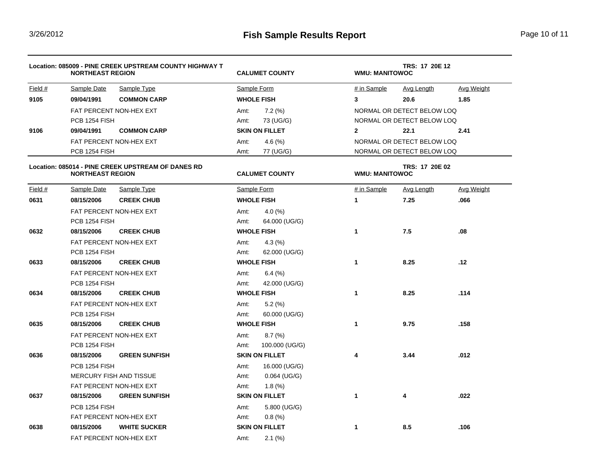|           | Location: 085009 - PINE CREEK UPSTREAM COUNTY HIGHWAY T<br><b>NORTHEAST REGION</b> |                                                    |                | <b>CALUMET COUNTY</b> |                         | TRS: 17 20E 12<br><b>WMU: MANITOWOC</b> |                   |  |
|-----------|------------------------------------------------------------------------------------|----------------------------------------------------|----------------|-----------------------|-------------------------|-----------------------------------------|-------------------|--|
| Field #   | Sample Date                                                                        | Sample Type                                        |                | Sample Form           | # in Sample             | Avg Length                              | Avg Weight        |  |
| 9105      | 09/04/1991                                                                         | <b>COMMON CARP</b>                                 |                | <b>WHOLE FISH</b>     | $\overline{\mathbf{3}}$ | 20.6                                    | 1.85              |  |
|           |                                                                                    | FAT PERCENT NON-HEX EXT                            | Amt:           | $7.2\ (%)$            |                         | NORMAL OR DETECT BELOW LOQ              |                   |  |
|           | PCB 1254 FISH                                                                      |                                                    | Amt:           | 73 (UG/G)             |                         | NORMAL OR DETECT BELOW LOQ              |                   |  |
| 9106      | 09/04/1991                                                                         | <b>COMMON CARP</b>                                 |                | <b>SKIN ON FILLET</b> | $\mathbf{2}$            | 22.1                                    | 2.41              |  |
|           |                                                                                    | FAT PERCENT NON-HEX EXT                            | Amt:           | 4.6(%)                |                         | NORMAL OR DETECT BELOW LOQ              |                   |  |
|           | PCB 1254 FISH                                                                      |                                                    | Amt:           | 77 (UG/G)             |                         | NORMAL OR DETECT BELOW LOQ              |                   |  |
|           | <b>NORTHEAST REGION</b>                                                            | Location: 085014 - PINE CREEK UPSTREAM OF DANES RD |                | <b>CALUMET COUNTY</b> | <b>WMU: MANITOWOC</b>   | TRS: 17 20E 02                          |                   |  |
| Field $#$ | Sample Date                                                                        | Sample Type                                        |                | Sample Form           | # in Sample             | <b>Avg Length</b>                       | <b>Avg Weight</b> |  |
| 0631      | 08/15/2006                                                                         | <b>CREEK CHUB</b>                                  |                | <b>WHOLE FISH</b>     | 1                       | 7.25                                    | .066              |  |
|           |                                                                                    | FAT PERCENT NON-HEX EXT                            | Amt:           | 4.0 $(%$              |                         |                                         |                   |  |
|           | PCB 1254 FISH                                                                      |                                                    | Amt:           | 64.000 (UG/G)         |                         |                                         |                   |  |
| 0632      | 08/15/2006                                                                         | <b>CREEK CHUB</b>                                  |                | <b>WHOLE FISH</b>     | 1                       | 7.5                                     | .08               |  |
|           |                                                                                    | FAT PERCENT NON-HEX EXT                            | Amt:           | 4.3(%)                |                         |                                         |                   |  |
|           |                                                                                    | PCB 1254 FISH                                      |                | 62.000 (UG/G)         |                         |                                         |                   |  |
| 0633      | 08/15/2006                                                                         | <b>CREEK CHUB</b>                                  |                | <b>WHOLE FISH</b>     | 1                       | 8.25                                    | .12               |  |
|           |                                                                                    | FAT PERCENT NON-HEX EXT                            |                | $6.4\ (%)$            |                         |                                         |                   |  |
|           | PCB 1254 FISH                                                                      |                                                    | Amt:           | 42.000 (UG/G)         |                         |                                         |                   |  |
| 0634      | 08/15/2006                                                                         | <b>CREEK CHUB</b>                                  |                | <b>WHOLE FISH</b>     | $\mathbf{1}$            | 8.25                                    | .114              |  |
|           |                                                                                    | FAT PERCENT NON-HEX EXT                            | Amt:           | $5.2\ (%)$            |                         |                                         |                   |  |
|           | PCB 1254 FISH                                                                      |                                                    | Amt:           | 60.000 (UG/G)         |                         |                                         |                   |  |
| 0635      | 08/15/2006                                                                         | <b>CREEK CHUB</b>                                  |                | <b>WHOLE FISH</b>     | $\mathbf{1}$            | 9.75                                    | .158              |  |
|           |                                                                                    | FAT PERCENT NON-HEX EXT                            | Amt:           | 8.7(%)                |                         |                                         |                   |  |
|           | PCB 1254 FISH                                                                      |                                                    | Amt:           | 100.000 (UG/G)        |                         |                                         |                   |  |
| 0636      | 08/15/2006                                                                         | <b>GREEN SUNFISH</b>                               |                | <b>SKIN ON FILLET</b> | 4                       | 3.44                                    | .012              |  |
|           | PCB 1254 FISH                                                                      |                                                    | Amt:           | 16.000 (UG/G)         |                         |                                         |                   |  |
|           |                                                                                    | MERCURY FISH AND TISSUE                            | Amt:           | $0.064$ (UG/G)        |                         |                                         |                   |  |
|           |                                                                                    | FAT PERCENT NON-HEX EXT                            | Amt:           | 1.8(%)                |                         |                                         |                   |  |
| 0637      | 08/15/2006                                                                         | <b>GREEN SUNFISH</b>                               |                | <b>SKIN ON FILLET</b> | $\mathbf{1}$            | 4                                       | .022              |  |
|           | PCB 1254 FISH                                                                      |                                                    | Amt:           | 5.800 (UG/G)          |                         |                                         |                   |  |
|           |                                                                                    | FAT PERCENT NON-HEX EXT                            | 0.8(%)<br>Amt: |                       |                         |                                         |                   |  |
| 0638      | 08/15/2006                                                                         | <b>WHITE SUCKER</b>                                |                | <b>SKIN ON FILLET</b> | 1                       | 8.5                                     | .106              |  |
|           |                                                                                    | FAT PERCENT NON-HEX EXT                            | Amt:           | $2.1\ (%)$            |                         |                                         |                   |  |